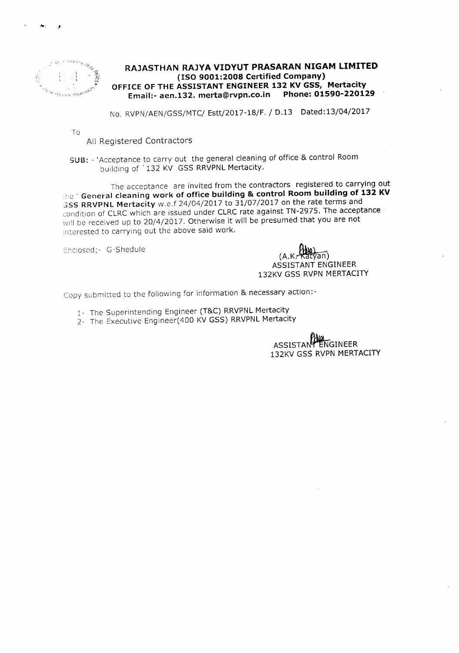

#### **RAJASTHAN RAJYA VIDYUT PRASARAN NIGAM LIMITED (ISO 9001:2008 Certified Company) OFFICE OF THE ASSISTANT ENGINEER 132 KV GSS, Mertacity Email:-aen.132.merta@rvpn.co.in Phone: 01590-220129**

No. RVPN/AEN/GSS/MTC/ Estt/2017-18/F./ 0.13 Dated:13/04/2017

To

All Registered Contractors

### SUB: - 'Acceptance to carry out the general cleaning of office & control Room building of ' 132 KV GSS RRVPNL Mertacity.

The acceptance are invited from the contractors registered to carrying out .: e ' **General cleaning work of office building & control Room building of 132 KV** GSS RRVPNL Mertacity w.e.f 24/04/2017 to 31/07/2017 on the rate terms and condition of CLRC which are issued under CLRC rate against TN-2975. The acceptance will be received up to 20/4/2017. Otherwise it will be presumed that you are not interested to carrying out the above said work.

Enclosed; - G-Shedule

์ลิท) (A.K. ASSISTANT ENGINEER 132KV GSS RVPN MERTACITY

Copy submitted to the following for information & necessary action:-

- 1- The Superintending Engineer (T&C) RRVPNL Mertacity
- 2- The Executive Engineer(400 KV GSS) RRVPNL Mertacity

ASSISTANT ENGINEER 132KV GSS RVPN MERTACITY